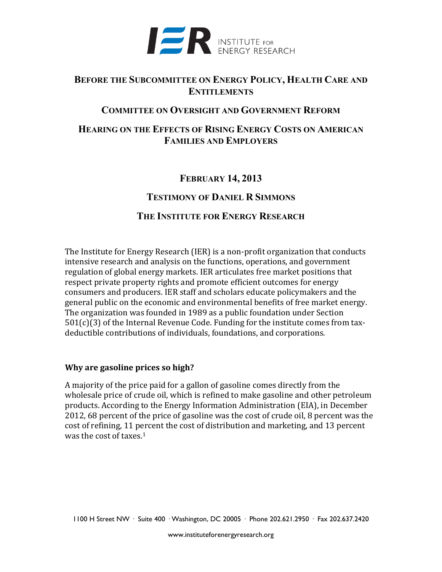

# **BEFORE THE SUBCOMMITTEE ON ENERGY POLICY, HEALTH CARE AND ENTITLEMENTS**

## **COMMITTEE ON OVERSIGHT AND GOVERNMENT REFORM**

# **HEARING ON THE EFFECTS OF RISING ENERGY COSTS ON AMERICAN FAMILIES AND EMPLOYERS**

# **FEBRUARY 14, 2013**

## **TESTIMONY OF DANIEL R SIMMONS**

## **THE INSTITUTE FOR ENERGY RESEARCH**

The Institute for Energy Research (IER) is a non-profit organization that conducts intensive research and analysis on the functions, operations, and government regulation of global energy markets. IER articulates free market positions that respect private property rights and promote efficient outcomes for energy consumers and producers. IER staff and scholars educate policymakers and the general public on the economic and environmental benefits of free market energy. The organization was founded in 1989 as a public foundation under Section 501(c)(3) of the Internal Revenue Code. Funding for the institute comes from taxdeductible contributions of individuals, foundations, and corporations.

#### **Why are gasoline prices so high?**

A majority of the price paid for a gallon of gasoline comes directly from the wholesale price of crude oil, which is refined to make gasoline and other petroleum products. According to the Energy Information Administration (EIA), in December 2012, 68 percent of the price of gasoline was the cost of crude oil, 8 percent was the cost of refining, 11 percent the cost of distribution and marketing, and 13 percent was the cost of taxes.1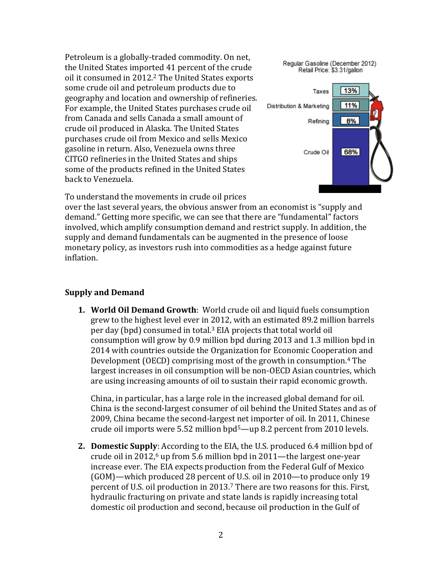Petroleum is a globally-traded commodity. On net, the United States imported 41 percent of the crude oil it consumed in 2012. <sup>2</sup> The United States exports some crude oil and petroleum products due to geography and location and ownership of refineries. For example, the United States purchases crude oil from Canada and sells Canada a small amount of crude oil produced in Alaska. The United States purchases crude oil from Mexico and sells Mexico gasoline in return. Also, Venezuela owns three CITGO refineries in the United States and ships some of the products refined in the United States back to Venezuela.



To understand the movements in crude oil prices

over the last several years, the obvious answer from an economist is "supply and demand." Getting more specific, we can see that there are "fundamental" factors involved, which amplify consumption demand and restrict supply. In addition, the supply and demand fundamentals can be augmented in the presence of loose monetary policy, as investors rush into commodities as a hedge against future inflation.

## **Supply and Demand**

**1. World Oil Demand Growth**: World crude oil and liquid fuels consumption grew to the highest level ever in 2012, with an estimated 89.2 million barrels per day (bpd) consumed in total.<sup>3</sup> EIA projects that total world oil consumption will grow by 0.9 million bpd during 2013 and 1.3 million bpd in 2014 with countries outside the Organization for Economic Cooperation and Development (OECD) comprising most of the growth in consumption.<sup>4</sup> The largest increases in oil consumption will be non-OECD Asian countries, which are using increasing amounts of oil to sustain their rapid economic growth.

China, in particular, has a large role in the increased global demand for oil. China is the second-largest consumer of oil behind the United States and as of 2009, China became the second-largest net importer of oil. In 2011, Chinese crude oil imports were 5.52 million bpd5—up 8.2 percent from 2010 levels.

**2. Domestic Supply**: According to the EIA, the U.S. produced 6.4 million bpd of crude oil in 2012, $6$  up from 5.6 million bpd in 2011—the largest one-year increase ever. The EIA expects production from the Federal Gulf of Mexico (GOM)—which produced 28 percent of U.S. oil in 2010—to produce only 19 percent of U.S. oil production in 2013.<sup>7</sup> There are two reasons for this. First, hydraulic fracturing on private and state lands is rapidly increasing total domestic oil production and second, because oil production in the Gulf of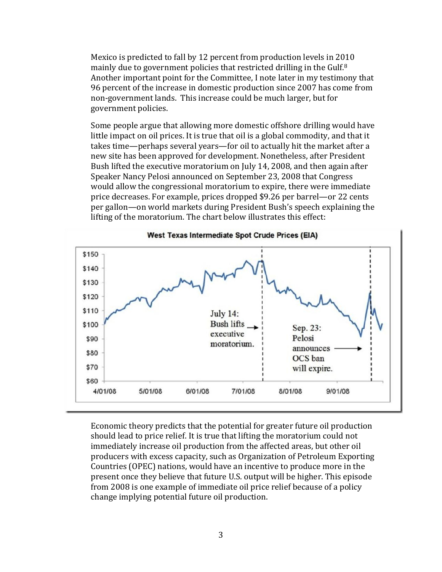Mexico is predicted to fall by 12 percent from production levels in 2010 mainly due to government policies that restricted drilling in the Gulf.<sup>8</sup> Another important point for the Committee, I note later in my testimony that 96 percent of the increase in domestic production since 2007 has come from non-government lands. This increase could be much larger, but for government policies.

Some people argue that allowing more domestic offshore drilling would have little impact on oil prices. It is true that oil is a global commodity, and that it takes time—perhaps several years—for oil to actually hit the market after a new site has been approved for development. Nonetheless, after President Bush lifted the executive moratorium on July 14, 2008, and then again after Speaker Nancy Pelosi announced on September 23, 2008 that Congress would allow the congressional moratorium to expire, there were immediate price decreases. For example, prices dropped \$9.26 per barrel—or 22 cents per gallon—on world markets during President Bush's speech explaining the lifting of the moratorium. The chart below illustrates this effect:



Economic theory predicts that the potential for greater future oil production should lead to price relief. It is true that lifting the moratorium could not immediately increase oil production from the affected areas, but other oil producers with excess capacity, such as Organization of Petroleum Exporting Countries (OPEC) nations, would have an incentive to produce more in the present once they believe that future U.S. output will be higher. This episode from 2008 is one example of immediate oil price relief because of a policy change implying potential future oil production.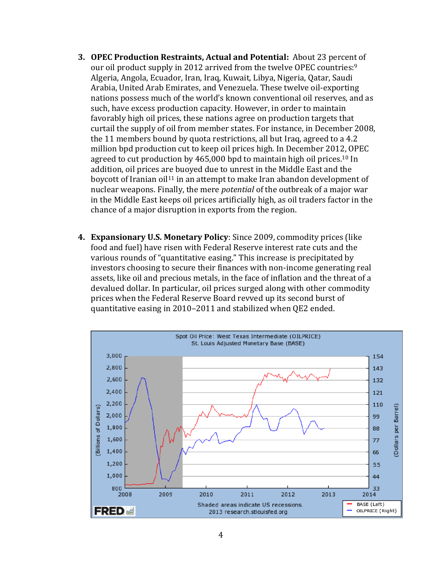- **3. OPEC Production Restraints, Actual and Potential:** About 23 percent of our oil product supply in 2012 arrived from the twelve OPEC countries:<sup>9</sup> Algeria, Angola, Ecuador, Iran, Iraq, Kuwait, Libya, Nigeria, Qatar, Saudi Arabia, United Arab Emirates, and Venezuela. These twelve oil-exporting nations possess much of the world's known conventional oil reserves, and as such, have excess production capacity. However, in order to maintain favorably high oil prices, these nations agree on production targets that curtail the supply of oil from member states. For instance, in December 2008, the 11 members bound by quota restrictions, all but Iraq, agreed to a 4.2 million bpd production cut to keep oil prices high. In December 2012, OPEC agreed to cut production by 465,000 bpd to maintain high oil prices.<sup>10</sup> In addition, oil prices are buoyed due to unrest in the Middle East and the boycott of Iranian oil<sup>11</sup> in an attempt to make Iran abandon development of nuclear weapons. Finally, the mere *potential* of the outbreak of a major war in the Middle East keeps oil prices artificially high, as oil traders factor in the chance of a major disruption in exports from the region.
- **4. Expansionary U.S. Monetary Policy**: Since 2009, commodity prices (like food and fuel) have risen with Federal Reserve interest rate cuts and the various rounds of "quantitative easing." This increase is precipitated by investors choosing to secure their finances with non-income generating real assets, like oil and precious metals, in the face of inflation and the threat of a devalued dollar. In particular, oil prices surged along with other commodity prices when the Federal Reserve Board revved up its second burst of quantitative easing in 2010–2011 and stabilized when QE2 ended.

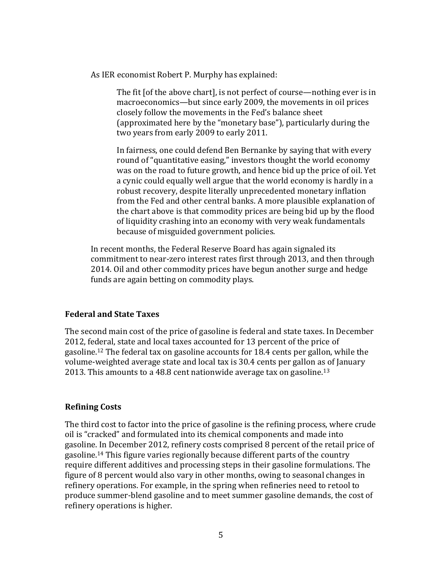As IER economist Robert P. Murphy has explained:

The fit [of the above chart], is not perfect of course—nothing ever is in macroeconomics—but since early 2009, the movements in oil prices closely follow the movements in the Fed's balance sheet (approximated here by the "monetary base"), particularly during the two years from early 2009 to early 2011.

In fairness, one could defend Ben Bernanke by saying that with every round of "quantitative easing," investors thought the world economy was on the road to future growth, and hence bid up the price of oil. Yet a cynic could equally well argue that the world economy is hardly in a robust recovery, despite literally unprecedented monetary inflation from the Fed and other central banks. A more plausible explanation of the chart above is that commodity prices are being bid up by the flood of liquidity crashing into an economy with very weak fundamentals because of misguided government policies.

In recent months, the Federal Reserve Board has again signaled its commitment to near-zero interest rates first through 2013, and then through 2014. Oil and other commodity prices have begun another surge and hedge funds are again betting on commodity plays.

#### **Federal and State Taxes**

The second main cost of the price of gasoline is federal and state taxes. In December 2012, federal, state and local taxes accounted for 13 percent of the price of gasoline.<sup>12</sup> The federal tax on gasoline accounts for 18.4 cents per gallon, while the volume-weighted average state and local tax is 30.4 cents per gallon as of January 2013. This amounts to a 48.8 cent nationwide average tax on gasoline.<sup>13</sup>

## **Refining Costs**

The third cost to factor into the price of gasoline is the refining process, where crude oil is "cracked" and formulated into its chemical components and made into gasoline. In December 2012, refinery costs comprised 8 percent of the retail price of gasoline.<sup>14</sup> This figure varies regionally because different parts of the country require different additives and processing steps in their gasoline formulations. The figure of 8 percent would also vary in other months, owing to seasonal changes in refinery operations. For example, in the spring when refineries need to retool to produce summer-blend gasoline and to meet summer gasoline demands, the cost of refinery operations is higher.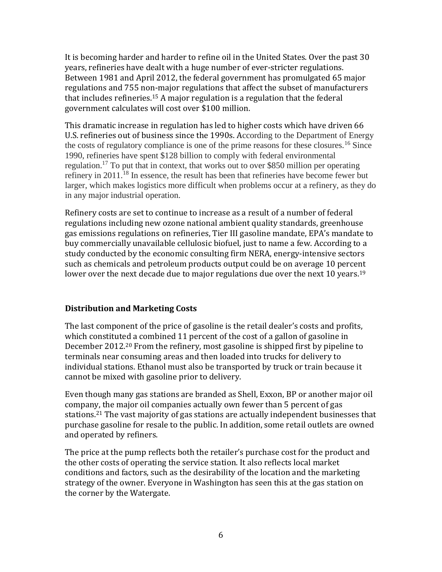It is becoming harder and harder to refine oil in the United States. Over the past 30 years, refineries have dealt with a huge number of ever-stricter regulations. Between 1981 and April 2012, the federal government has promulgated 65 major regulations and 755 non-major regulations that affect the subset of manufacturers that includes refineries.<sup>15</sup> A major regulation is a regulation that the federal government calculates will cost over \$100 million.

This dramatic increase in regulation has led to higher costs which have driven 66 U.S. refineries out of business since the 1990s. According to the Department of Energy the costs of regulatory compliance is one of the prime reasons for these closures.<sup>16</sup> Since 1990, refineries have spent \$128 billion to comply with federal environmental regulation.<sup>17</sup> To put that in context, that works out to over \$850 million per operating refinery in 2011.<sup>18</sup> In essence, the result has been that refineries have become fewer but larger, which makes logistics more difficult when problems occur at a refinery, as they do in any major industrial operation.

Refinery costs are set to continue to increase as a result of a number of federal regulations including new ozone national ambient quality standards, greenhouse gas emissions regulations on refineries, Tier III gasoline mandate, EPA's mandate to buy commercially unavailable cellulosic biofuel, just to name a few. According to a study conducted by the economic consulting firm NERA, energy-intensive sectors such as chemicals and petroleum products output could be on average 10 percent lower over the next decade due to major regulations due over the next 10 years.<sup>19</sup>

#### **Distribution and Marketing Costs**

The last component of the price of gasoline is the retail dealer's costs and profits, which constituted a combined 11 percent of the cost of a gallon of gasoline in December 2012.<sup>20</sup> From the refinery, most gasoline is shipped first by pipeline to terminals near consuming areas and then loaded into trucks for delivery to individual stations. Ethanol must also be transported by truck or train because it cannot be mixed with gasoline prior to delivery.

Even though many gas stations are branded as Shell, Exxon, BP or another major oil company, the major oil companies actually own fewer than 5 percent of gas stations.<sup>21</sup> The vast majority of gas stations are actually independent businesses that purchase gasoline for resale to the public. In addition, some retail outlets are owned and operated by refiners.

The price at the pump reflects both the retailer's purchase cost for the product and the other costs of operating the service station. It also reflects local market conditions and factors, such as the desirability of the location and the marketing strategy of the owner. Everyone in Washington has seen this at the gas station on the corner by the Watergate.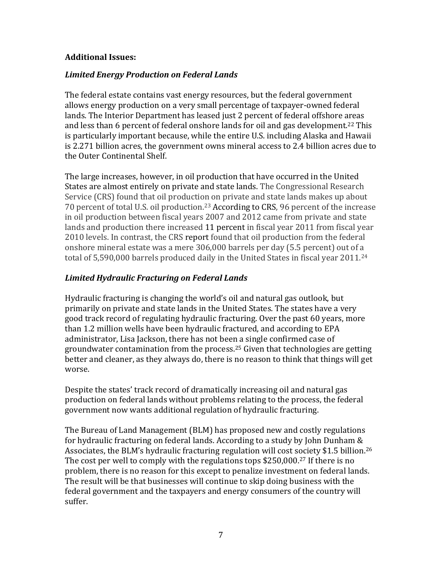#### **Additional Issues:**

#### *Limited Energy Production on Federal Lands*

The federal estate contains vast energy resources, but the federal government allows energy production on a very small percentage of taxpayer-owned federal lands. The Interior Department has leased just 2 percent of federal offshore areas and less than 6 percent of federal onshore lands for oil and gas development.<sup>22</sup> This is particularly important because, while the entire U.S. including Alaska and Hawaii is 2.271 billion acres, the government owns mineral access to 2.4 billion acres due to the Outer Continental Shelf.

The large increases, however, in oil production that have occurred in the United States are almost entirely on private and state lands. The Congressional Research Service (CRS) found that oil production on private and state lands makes up about 70 percent of total U.S. oil production.<sup>23</sup> According to CRS, 96 percent of the increase in oil production between fiscal years 2007 and 2012 came from private and state lands and production there increased 11 percent in fiscal year 2011 from fiscal year 2010 levels. In contrast, the CRS report found that oil production from the federal onshore mineral estate was a mere 306,000 barrels per day (5.5 percent) out of a total of 5,590,000 barrels produced daily in the United States in fiscal year 2011.<sup>24</sup>

## *Limited Hydraulic Fracturing on Federal Lands*

Hydraulic fracturing is changing the world's oil and natural gas outlook, but primarily on private and state lands in the United States. The states have a very good track record of regulating hydraulic fracturing. Over the past 60 years, more than 1.2 million wells have been hydraulic fractured, and according to EPA administrator, Lisa Jackson, there has not been a single confirmed case of groundwater contamination from the process.<sup>25</sup> Given that technologies are getting better and cleaner, as they always do, there is no reason to think that things will get worse.

Despite the states' track record of dramatically increasing oil and natural gas production on federal lands without problems relating to the process, the federal government now wants additional regulation of hydraulic fracturing.

The Bureau of Land Management (BLM) has proposed new and costly regulations for hydraulic fracturing on federal lands. According to a study by John Dunham & Associates, the BLM's hydraulic fracturing regulation will cost society \$1.5 billion.<sup>26</sup> The cost per well to comply with the regulations tops \$250,000.<sup>27</sup> If there is no problem, there is no reason for this except to penalize investment on federal lands. The result will be that businesses will continue to skip doing business with the federal government and the taxpayers and energy consumers of the country will suffer.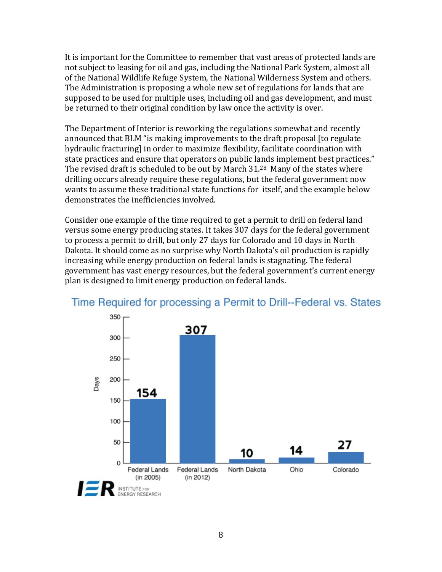It is important for the Committee to remember that vast areas of protected lands are not subject to leasing for oil and gas, including the National Park System, almost all of the National Wildlife Refuge System, the National Wilderness System and others. The Administration is proposing a whole new set of regulations for lands that are supposed to be used for multiple uses, including oil and gas development, and must be returned to their original condition by law once the activity is over.

The Department of Interior is reworking the regulations somewhat and recently announced that BLM "is making improvements to the draft proposal [to regulate hydraulic fracturing] in order to maximize flexibility, facilitate coordination with state practices and ensure that operators on public lands implement best practices." The revised draft is scheduled to be out by March 31.<sup>28</sup> Many of the states where drilling occurs already require these regulations, but the federal government now wants to assume these traditional state functions for itself, and the example below demonstrates the inefficiencies involved.

Consider one example of the time required to get a permit to drill on federal land versus some energy producing states. It takes 307 days for the federal government to process a permit to drill, but only 27 days for Colorado and 10 days in North Dakota. It should come as no surprise why North Dakota's oil production is rapidly increasing while energy production on federal lands is stagnating. The federal government has vast energy resources, but the federal government's current energy plan is designed to limit energy production on federal lands.



# Time Required for processing a Permit to Drill--Federal vs. States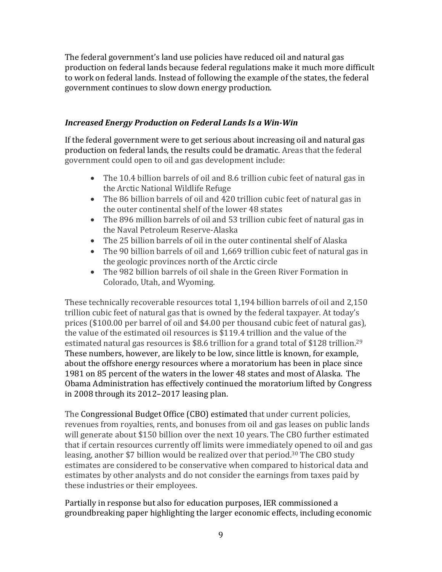The federal government's land use policies have reduced oil and natural gas production on federal lands because federal regulations make it much more difficult to work on federal lands. Instead of following the example of the states, the federal government continues to slow down energy production.

## *Increased Energy Production on Federal Lands Is a Win-Win*

If the federal government were to get serious about increasing oil and natural gas production on federal lands, the results could be dramatic. Areas that the federal government could open to oil and gas development include:

- The 10.4 billion barrels of oil and 8.6 trillion cubic feet of natural gas in the Arctic National Wildlife Refuge
- The 86 billion barrels of oil and 420 trillion cubic feet of natural gas in the outer continental shelf of the lower 48 states
- The 896 million barrels of oil and 53 trillion cubic feet of natural gas in the Naval Petroleum Reserve-Alaska
- The 25 billion barrels of oil in the outer continental shelf of Alaska
- The 90 billion barrels of oil and 1,669 trillion cubic feet of natural gas in the geologic provinces north of the Arctic circle
- The 982 billion barrels of oil shale in the Green River Formation in Colorado, Utah, and Wyoming.

These technically recoverable resources total 1,194 billion barrels of oil and 2,150 trillion cubic feet of natural gas that is owned by the federal taxpayer. At today's prices (\$100.00 per barrel of oil and \$4.00 per thousand cubic feet of natural gas), the value of the estimated oil resources is \$119.4 trillion and the value of the estimated natural gas resources is \$8.6 trillion for a grand total of \$128 trillion.<sup>29</sup> These numbers, however, are likely to be low, since little is known, for example, about the offshore energy resources where a moratorium has been in place since 1981 on 85 percent of the waters in the lower 48 states and most of Alaska. The Obama Administration has effectively continued the moratorium lifted by Congress in 2008 through its 2012–2017 leasing plan.

The Congressional Budget Office (CBO) estimated that under current policies, revenues from royalties, rents, and bonuses from oil and gas leases on public lands will generate about \$150 billion over the next 10 years. The CBO further estimated that if certain resources currently off limits were immediately opened to oil and gas leasing, another \$7 billion would be realized over that period. <sup>30</sup> The CBO study estimates are considered to be conservative when compared to historical data and estimates by other analysts and do not consider the earnings from taxes paid by these industries or their employees.

Partially in response but also for education purposes, IER commissioned a groundbreaking paper highlighting the larger economic effects, including economic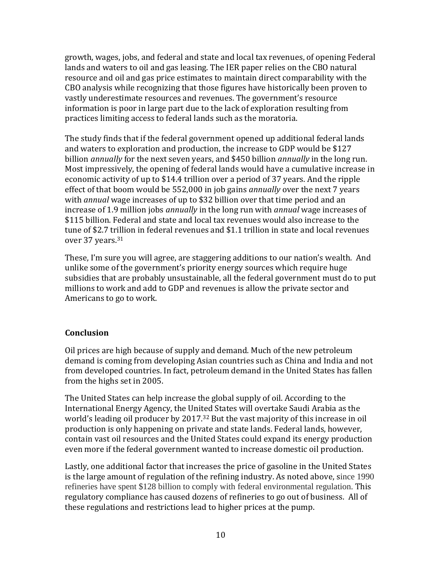growth, wages, jobs, and federal and state and local tax revenues, of opening Federal lands and waters to oil and gas leasing. The IER paper relies on the CBO natural resource and oil and gas price estimates to maintain direct comparability with the CBO analysis while recognizing that those figures have historically been proven to vastly underestimate resources and revenues. The government's resource information is poor in large part due to the lack of exploration resulting from practices limiting access to federal lands such as the moratoria.

The study finds that if the federal government opened up additional federal lands and waters to exploration and production, the increase to GDP would be \$127 billion *annually* for the next seven years, and \$450 billion *annually* in the long run. Most impressively, the opening of federal lands would have a cumulative increase in economic activity of up to \$14.4 trillion over a period of 37 years. And the ripple effect of that boom would be 552,000 in job gains *annually* over the next 7 years with *annual* wage increases of up to \$32 billion over that time period and an increase of 1.9 million jobs *annually* in the long run with *annual* wage increases of \$115 billion. Federal and state and local tax revenues would also increase to the tune of \$2.7 trillion in federal revenues and \$1.1 trillion in state and local revenues over 37 years.<sup>31</sup>

These, I'm sure you will agree, are staggering additions to our nation's wealth. And unlike some of the government's priority energy sources which require huge subsidies that are probably unsustainable, all the federal government must do to put millions to work and add to GDP and revenues is allow the private sector and Americans to go to work.

## **Conclusion**

Oil prices are high because of supply and demand. Much of the new petroleum demand is coming from developing Asian countries such as China and India and not from developed countries. In fact, petroleum demand in the United States has fallen from the highs set in 2005.

The United States can help increase the global supply of oil. According to the International Energy Agency, the United States will overtake Saudi Arabia as the world's leading oil producer by 2017.<sup>32</sup> But the vast majority of this increase in oil production is only happening on private and state lands. Federal lands, however, contain vast oil resources and the United States could expand its energy production even more if the federal government wanted to increase domestic oil production.

Lastly, one additional factor that increases the price of gasoline in the United States is the large amount of regulation of the refining industry. As noted above, since 1990 refineries have spent \$128 billion to comply with federal environmental regulation. This regulatory compliance has caused dozens of refineries to go out of business. All of these regulations and restrictions lead to higher prices at the pump.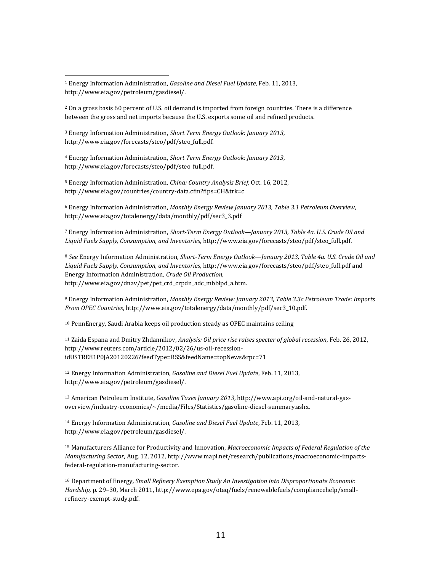<sup>2</sup> On a gross basis 60 percent of U.S. oil demand is imported from foreign countries. There is a difference between the gross and net imports because the U.S. exports some oil and refined products.

<sup>3</sup> Energy Information Administration, *Short Term Energy Outlook: January 2013*, http://www.eia.gov/forecasts/steo/pdf/steo\_full.pdf.

<sup>4</sup> Energy Information Administration, *Short Term Energy Outlook: January 2013*, http://www.eia.gov/forecasts/steo/pdf/steo\_full.pdf.

<sup>5</sup> Energy Information Administration, *China: Country Analysis Brief*, Oct. 16, 2012, http://www.eia.gov/countries/country-data.cfm?fips=CH&trk=c

<sup>6</sup> Energy Information Administration, *Monthly Energy Review January 2013, Table 3.1 Petroleum Overview*, http://www.eia.gov/totalenergy/data/monthly/pdf/sec3\_3.pdf

<sup>7</sup> Energy Information Administration, *Short-Term Energy Outlook—January 2013, Table 4a. U.S. Crude Oil and Liquid Fuels Supply, Consumption, and Inventories*, http://www.eia.gov/forecasts/steo/pdf/steo\_full.pdf.

<sup>8</sup> *See* Energy Information Administration, *Short-Term Energy Outlook—January 2013, Table 4a. U.S. Crude Oil and Liquid Fuels Supply, Consumption, and Inventories*, http://www.eia.gov/forecasts/steo/pdf/steo\_full.pdf and Energy Information Administration, *Crude Oil Production*, http://www.eia.gov/dnav/pet/pet\_crd\_crpdn\_adc\_mbblpd\_a.htm.

<sup>9</sup> Energy Information Administration, *Monthly Energy Review: January 2013*, *Table 3.3c Petroleum Trade: Imports From OPEC Countries*, http://www.eia.gov/totalenergy/data/monthly/pdf/sec3\_10.pdf.

<sup>10</sup> PennEnergy, Saudi Arabia keeps oil production steady as OPEC maintains ceiling

<sup>11</sup> Zaida Espana and Dmitry Zhdannikov, *Analysis: Oil price rise raises specter of global recession*, Feb. 26, 2012, http://www.reuters.com/article/2012/02/26/us-oil-recessionidUSTRE81P0JA20120226?feedType=RSS&feedName=topNews&rpc=71

<sup>12</sup> Energy Information Administration, *Gasoline and Diesel Fuel Update*, Feb. 11, 2013, http://www.eia.gov/petroleum/gasdiesel/.

<sup>13</sup> American Petroleum Institute, *Gasoline Taxes January 2013*, http://www.api.org/oil-and-natural-gasoverview/industry-economics/~/media/Files/Statistics/gasoline-diesel-summary.ashx.

<sup>14</sup> Energy Information Administration, *Gasoline and Diesel Fuel Update*, Feb. 11, 2013, http://www.eia.gov/petroleum/gasdiesel/.

<sup>15</sup> Manufacturers Alliance for Productivity and Innovation, *Macroeconomic Impacts of Federal Regulation of the Manufacturing Sector*, Aug. 12, 2012, http://www.mapi.net/research/publications/macroeconomic-impactsfederal-regulation-manufacturing-sector.

<sup>16</sup> Department of Energy*, Small Refinery Exemption Study An Investigation into Disproportionate Economic Hardship*, p. 29–30, March 2011, http://www.epa.gov/otaq/fuels/renewablefuels/compliancehelp/smallrefinery-exempt-study.pdf.

l <sup>1</sup> Energy Information Administration, *Gasoline and Diesel Fuel Update*, Feb. 11, 2013, http://www.eia.gov/petroleum/gasdiesel/.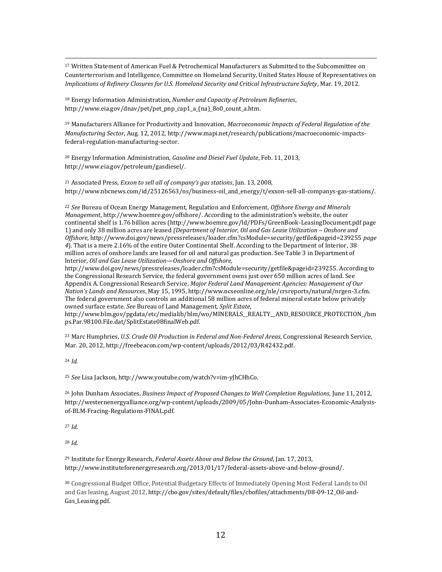$\overline{\phantom{a}}$ <sup>17</sup> Written Statement of American Fuel & Petrochemical Manufacturers as Submitted to the Subcommittee on Counterterrorism and Intelligence, Committee on Homeland Security, United States House of Representatives on *Implications of Refinery Closures for U.S. Homeland Security and Critical Infrastructure Safety*, Mar. 19, 2012.

<sup>18</sup> Energy Information Administration, *Number and Capacity of Petroleum Refineries*, http://www.eia.gov/dnav/pet/pet\_pnp\_cap1\_a\_(na)\_8o0\_count\_a.htm.

<sup>19</sup> Manufacturers Alliance for Productivity and Innovation, *Macroeconomic Impacts of Federal Regulation of the Manufacturing Sector*, Aug. 12, 2012, http://www.mapi.net/research/publications/macroeconomic-impactsfederal-regulation-manufacturing-sector.

<sup>20</sup> Energy Information Administration, *Gasoline and Diesel Fuel Update*, Feb. 11, 2013, http://www.eia.gov/petroleum/gasdiesel/.

<sup>21</sup> Associated Press, *Exxon to sell all of company's gas stations*, Jun. 13, 2008, http://www.nbcnews.com/id/25126563/ns/business-oil\_and\_energy/t/exxon-sell-all-companys-gas-stations/.

<sup>22</sup> *See* Bureau of Ocean Energy Management, Regulation and Enforcement, *Offshore Energy and Minerals Management*, http://www.boemre.gov/offshore/. According to the administration's website, the outer continental shelf is 1.76 billion acres (http://www.boemre.gov/ld/PDFs/GreenBook-LeasingDocument.pdf page 1) and only 38 million acres are leased *(Department of Interior, Oil and Gas Lease Utilization – Onshore and Offshore,* http://www.doi.gov/news/pressreleases/loader.cfm?csModule=security/getfile&pageid=239255 *page 4*)*.* That is a mere 2.16% of the entire Outer Continental Shelf. According to the Department of Interior, 38 million acres of onshore lands are leased for oil and natural gas production. See Table 3 in Department of Interior, *Oil and Gas Lease Utilization—Onshore and Offshore,* 

http://www.doi.gov/news/pressreleases/loader.cfm?csModule=security/getfile&pageid=239255. According to the Congressional Research Service, the federal government owns just over 650 million acres of land. See Appendix A. Congressional Research Service, *Major Federal Land Management Agencies: Management of Our Nation's Lands and Resources*, May 15, 1995, http://www.ncseonline.org/nle/crsreports/natural/nrgen-3.cfm. The federal government also controls an additional 58 million acres of federal mineral estate below privately owned surface estate. *See* Bureau of Land Management, *Split Estate*,

http://www.blm.gov/pgdata/etc/medialib/blm/wo/MINERALS\_\_REALTY\_\_AND\_RESOURCE\_PROTECTION\_/bm ps.Par.98100.File.dat/SplitEstate08finalWeb.pdf.

<sup>23</sup> Marc Humphries, *U.S. Crude Oil Production in Federal and Non-Federal Areas*, Congressional Research Service, Mar. 20, 2012, http://freebeacon.com/wp-content/uploads/2012/03/R42432.pdf.

<sup>24</sup> *Id.* 

<sup>25</sup> *See* Lisa Jackson, http://www.youtube.com/watch?v=im-yJhCHhCo.

<sup>26</sup> John Dunham Associates, *Business Impact of Proposed Changes to Well Completion Regulations*, June 11, 2012, http://westernenergyalliance.org/wp-content/uploads/2009/05/John-Dunham-Associates-Economic-Analysisof-BLM-Fracing-Regulations-FINAL.pdf.

<sup>27</sup> *Id.* 

<sup>28</sup> *Id.* 

<sup>29</sup> Institute for Energy Research, *Federal Assets Above and Below the Ground*, Jan. 17, 2013, http://www.instituteforenergyresearch.org/2013/01/17/federal-assets-above-and-below-ground/.

<sup>30</sup> Congressional Budget Office, Potential Budgetary Effects of Immediately Opening Most Federal Lands to Oil and Gas leasing, August 2012, http://cbo.gov/sites/default/files/cbofiles/attachments/08-09-12\_Oil-and-Gas\_Leasing.pdf.